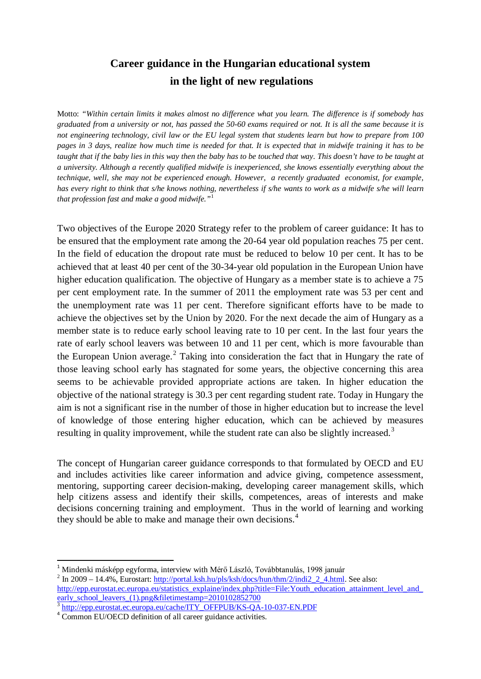## **Career guidance in the Hungarian educational system in the light of new regulations**

Motto: *"Within certain limits it makes almost no difference what you learn. The difference is if somebody has graduated from a university or not, has passed the 50-60 exams required or not. It is all the same because it is not engineering technology, civil law or the EU legal system that students learn but how to prepare from 100 pages in 3 days, realize how much time is needed for that. It is expected that in midwife training it has to be taught that if the baby lies in this way then the baby has to be touched that way. This doesn't have to be taught at a university. Although a recently qualified midwife is inexperienced, she knows essentially everything about the technique, well, she may not be experienced enough. However, a recently graduated economist, for example, has every right to think that s/he knows nothing, nevertheless if s/he wants to work as a midwife s/he will learn that profession fast and make a good midwife."*[1](#page-0-0)

Two objectives of the Europe 2020 Strategy refer to the problem of career guidance: It has to be ensured that the employment rate among the 20-64 year old population reaches 75 per cent. In the field of education the dropout rate must be reduced to below 10 per cent. It has to be achieved that at least 40 per cent of the 30-34-year old population in the European Union have higher education qualification. The objective of Hungary as a member state is to achieve a 75 per cent employment rate. In the summer of 2011 the employment rate was 53 per cent and the unemployment rate was 11 per cent. Therefore significant efforts have to be made to achieve the objectives set by the Union by 2020. For the next decade the aim of Hungary as a member state is to reduce early school leaving rate to 10 per cent. In the last four years the rate of early school leavers was between 10 and 11 per cent, which is more favourable than the European Union average.<sup>[2](#page-0-1)</sup> Taking into consideration the fact that in Hungary the rate of those leaving school early has stagnated for some years, the objective concerning this area seems to be achievable provided appropriate actions are taken. In higher education the objective of the national strategy is 30.3 per cent regarding student rate. Today in Hungary the aim is not a significant rise in the number of those in higher education but to increase the level of knowledge of those entering higher education, which can be achieved by measures resulting in quality improvement, while the student rate can also be slightly increased.<sup>[3](#page-0-2)</sup>

The concept of Hungarian career guidance corresponds to that formulated by OECD and EU and includes activities like career information and advice giving, competence assessment, mentoring, supporting career decision-making, developing career management skills, which help citizens assess and identify their skills, competences, areas of interests and make decisions concerning training and employment. Thus in the world of learning and working they should be able to make and manage their own decisions.<sup>[4](#page-0-3)</sup>

<span id="page-0-0"></span><sup>&</sup>lt;sup>1</sup> Mindenki másképp egyforma, interview with Mérő László, Továbbtanulás, 1998 január <sup>2</sup> In 2009 – 14.4%, Eurostart: [http://portal.ksh.hu/pls/ksh/docs/hun/thm/2/indi2\\_2\\_4.html.](http://portal.ksh.hu/pls/ksh/docs/hun/thm/2/indi2_2_4.html) See also:

<span id="page-0-1"></span>http://epp.eurostat.ec.europa.eu/statistics\_explaine/index.php?title=File:Youth\_education\_attainment\_level\_and [early\\_school\\_leavers\\_\(1\).png&filetimestamp=2010102852700](http://epp.eurostat.ec.europa.eu/statistics_explaine/index.php?title=File:Youth_education_attainment_level_and_early_school_leavers_(1).png&filetimestamp=2010102852700)

<span id="page-0-2"></span> $\frac{3 \text{ http://epp.eurostat.ec.europa.eu/cache/ITY_OFFPUB/KS-QA-10-037-EN.PDF}}{ \text{Common EU/OECD definition of all career guidance activities.}}$  $\frac{3 \text{ http://epp.eurostat.ec.europa.eu/cache/ITY_OFFPUB/KS-QA-10-037-EN.PDF}}{ \text{Common EU/OECD definition of all career guidance activities.}}$  $\frac{3 \text{ http://epp.eurostat.ec.europa.eu/cache/ITY_OFFPUB/KS-QA-10-037-EN.PDF}}{ \text{Common EU/OECD definition of all career guidance activities.}}$ 

<span id="page-0-4"></span><span id="page-0-3"></span>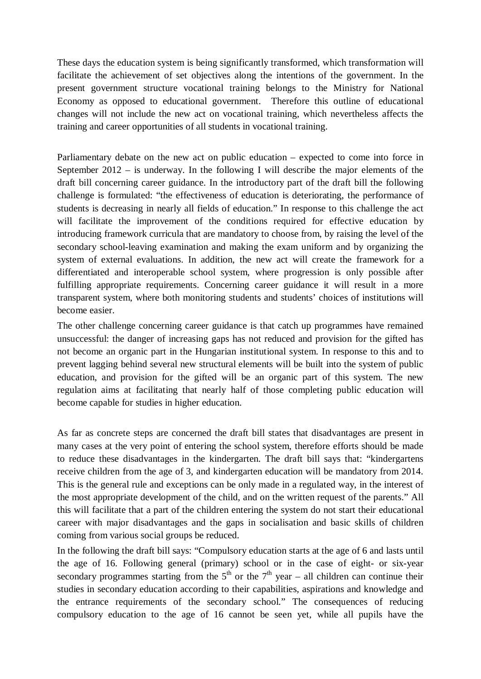These days the education system is being significantly transformed, which transformation will facilitate the achievement of set objectives along the intentions of the government. In the present government structure vocational training belongs to the Ministry for National Economy as opposed to educational government. Therefore this outline of educational changes will not include the new act on vocational training, which nevertheless affects the training and career opportunities of all students in vocational training.

Parliamentary debate on the new act on public education – expected to come into force in September 2012 – is underway. In the following I will describe the major elements of the draft bill concerning career guidance. In the introductory part of the draft bill the following challenge is formulated: "the effectiveness of education is deteriorating, the performance of students is decreasing in nearly all fields of education." In response to this challenge the act will facilitate the improvement of the conditions required for effective education by introducing framework curricula that are mandatory to choose from, by raising the level of the secondary school-leaving examination and making the exam uniform and by organizing the system of external evaluations. In addition, the new act will create the framework for a differentiated and interoperable school system, where progression is only possible after fulfilling appropriate requirements. Concerning career guidance it will result in a more transparent system, where both monitoring students and students' choices of institutions will become easier.

The other challenge concerning career guidance is that catch up programmes have remained unsuccessful: the danger of increasing gaps has not reduced and provision for the gifted has not become an organic part in the Hungarian institutional system. In response to this and to prevent lagging behind several new structural elements will be built into the system of public education, and provision for the gifted will be an organic part of this system. The new regulation aims at facilitating that nearly half of those completing public education will become capable for studies in higher education.

As far as concrete steps are concerned the draft bill states that disadvantages are present in many cases at the very point of entering the school system, therefore efforts should be made to reduce these disadvantages in the kindergarten. The draft bill says that: "kindergartens receive children from the age of 3, and kindergarten education will be mandatory from 2014. This is the general rule and exceptions can be only made in a regulated way, in the interest of the most appropriate development of the child, and on the written request of the parents." All this will facilitate that a part of the children entering the system do not start their educational career with major disadvantages and the gaps in socialisation and basic skills of children coming from various social groups be reduced.

In the following the draft bill says: "Compulsory education starts at the age of 6 and lasts until the age of 16. Following general (primary) school or in the case of eight- or six-year secondary programmes starting from the  $5<sup>th</sup>$  or the  $7<sup>th</sup>$  year – all children can continue their studies in secondary education according to their capabilities, aspirations and knowledge and the entrance requirements of the secondary school." The consequences of reducing compulsory education to the age of 16 cannot be seen yet, while all pupils have the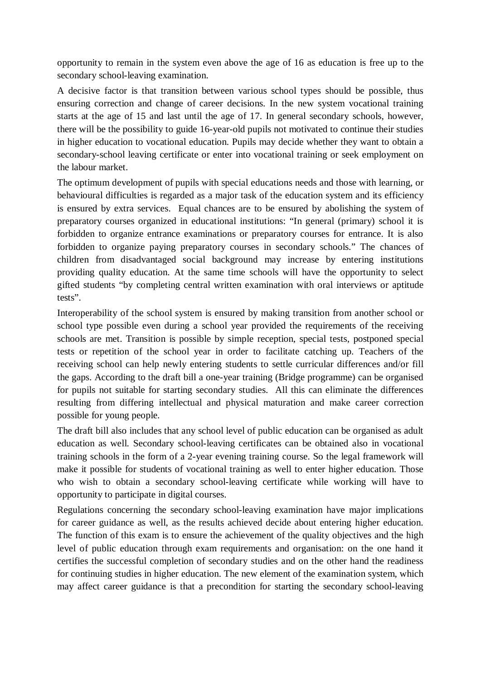opportunity to remain in the system even above the age of 16 as education is free up to the secondary school-leaving examination.

A decisive factor is that transition between various school types should be possible, thus ensuring correction and change of career decisions. In the new system vocational training starts at the age of 15 and last until the age of 17. In general secondary schools, however, there will be the possibility to guide 16-year-old pupils not motivated to continue their studies in higher education to vocational education. Pupils may decide whether they want to obtain a secondary-school leaving certificate or enter into vocational training or seek employment on the labour market.

The optimum development of pupils with special educations needs and those with learning, or behavioural difficulties is regarded as a major task of the education system and its efficiency is ensured by extra services. Equal chances are to be ensured by abolishing the system of preparatory courses organized in educational institutions: "In general (primary) school it is forbidden to organize entrance examinations or preparatory courses for entrance. It is also forbidden to organize paying preparatory courses in secondary schools." The chances of children from disadvantaged social background may increase by entering institutions providing quality education. At the same time schools will have the opportunity to select gifted students "by completing central written examination with oral interviews or aptitude tests".

Interoperability of the school system is ensured by making transition from another school or school type possible even during a school year provided the requirements of the receiving schools are met. Transition is possible by simple reception, special tests, postponed special tests or repetition of the school year in order to facilitate catching up. Teachers of the receiving school can help newly entering students to settle curricular differences and/or fill the gaps. According to the draft bill a one-year training (Bridge programme) can be organised for pupils not suitable for starting secondary studies. All this can eliminate the differences resulting from differing intellectual and physical maturation and make career correction possible for young people.

The draft bill also includes that any school level of public education can be organised as adult education as well. Secondary school-leaving certificates can be obtained also in vocational training schools in the form of a 2-year evening training course. So the legal framework will make it possible for students of vocational training as well to enter higher education. Those who wish to obtain a secondary school-leaving certificate while working will have to opportunity to participate in digital courses.

Regulations concerning the secondary school-leaving examination have major implications for career guidance as well, as the results achieved decide about entering higher education. The function of this exam is to ensure the achievement of the quality objectives and the high level of public education through exam requirements and organisation: on the one hand it certifies the successful completion of secondary studies and on the other hand the readiness for continuing studies in higher education. The new element of the examination system, which may affect career guidance is that a precondition for starting the secondary school-leaving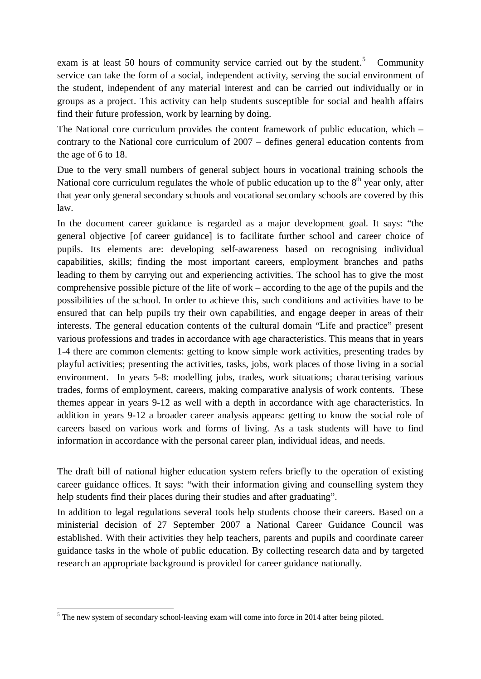exam is at least [5](#page-0-4)0 hours of community service carried out by the student.<sup>5</sup> Community service can take the form of a social, independent activity, serving the social environment of the student, independent of any material interest and can be carried out individually or in groups as a project. This activity can help students susceptible for social and health affairs find their future profession, work by learning by doing.

The National core curriculum provides the content framework of public education, which – contrary to the National core curriculum of 2007 – defines general education contents from the age of 6 to 18.

Due to the very small numbers of general subject hours in vocational training schools the National core curriculum regulates the whole of public education up to the  $8<sup>th</sup>$  year only, after that year only general secondary schools and vocational secondary schools are covered by this law.

In the document career guidance is regarded as a major development goal. It says: "the general objective [of career guidance] is to facilitate further school and career choice of pupils. Its elements are: developing self-awareness based on recognising individual capabilities, skills; finding the most important careers, employment branches and paths leading to them by carrying out and experiencing activities. The school has to give the most comprehensive possible picture of the life of work – according to the age of the pupils and the possibilities of the school. In order to achieve this, such conditions and activities have to be ensured that can help pupils try their own capabilities, and engage deeper in areas of their interests. The general education contents of the cultural domain "Life and practice" present various professions and trades in accordance with age characteristics. This means that in years 1-4 there are common elements: getting to know simple work activities, presenting trades by playful activities; presenting the activities, tasks, jobs, work places of those living in a social environment. In years 5-8: modelling jobs, trades, work situations; characterising various trades, forms of employment, careers, making comparative analysis of work contents. These themes appear in years 9-12 as well with a depth in accordance with age characteristics. In addition in years 9-12 a broader career analysis appears: getting to know the social role of careers based on various work and forms of living. As a task students will have to find information in accordance with the personal career plan, individual ideas, and needs.

The draft bill of national higher education system refers briefly to the operation of existing career guidance offices. It says: "with their information giving and counselling system they help students find their places during their studies and after graduating".

In addition to legal regulations several tools help students choose their careers. Based on a ministerial decision of 27 September 2007 a National Career Guidance Council was established. With their activities they help teachers, parents and pupils and coordinate career guidance tasks in the whole of public education. By collecting research data and by targeted research an appropriate background is provided for career guidance nationally.

<span id="page-3-0"></span><sup>&</sup>lt;sup>5</sup> The new system of secondary school-leaving exam will come into force in 2014 after being piloted.